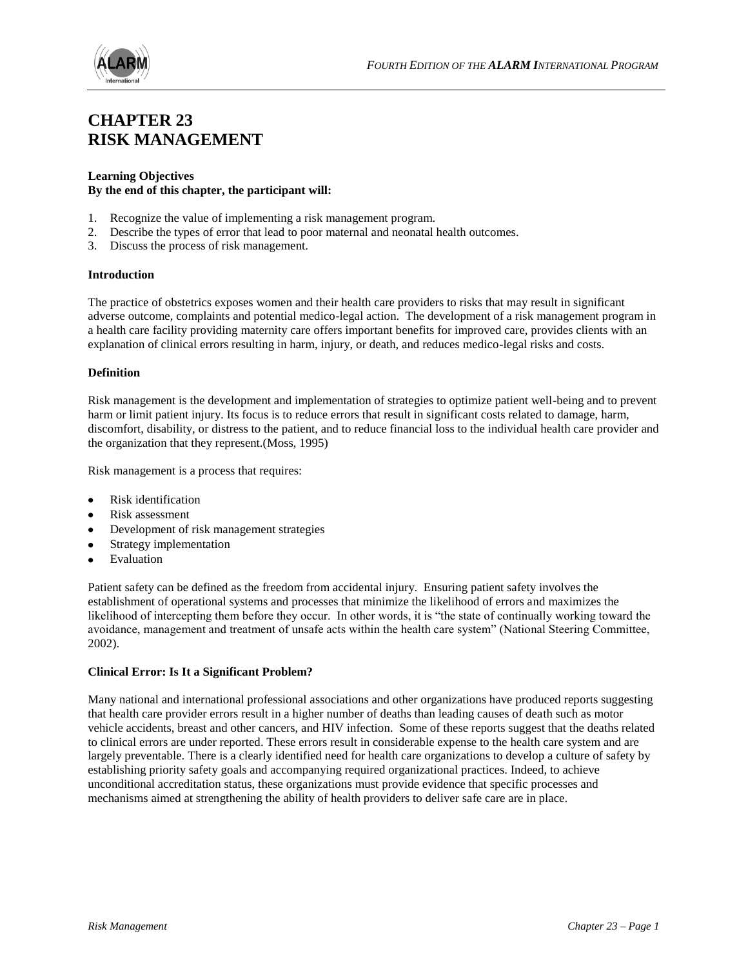

# **CHAPTER 23 RISK MANAGEMENT**

#### **Learning Objectives By the end of this chapter, the participant will:**

- 1. Recognize the value of implementing a risk management program.
- 2. Describe the types of error that lead to poor maternal and neonatal health outcomes.
- 3. Discuss the process of risk management.

#### **Introduction**

The practice of obstetrics exposes women and their health care providers to risks that may result in significant adverse outcome, complaints and potential medico-legal action. The development of a risk management program in a health care facility providing maternity care offers important benefits for improved care, provides clients with an explanation of clinical errors resulting in harm, injury, or death, and reduces medico-legal risks and costs.

#### **Definition**

Risk management is the development and implementation of strategies to optimize patient well-being and to prevent harm or limit patient injury. Its focus is to reduce errors that result in significant costs related to damage, harm, discomfort, disability, or distress to the patient, and to reduce financial loss to the individual health care provider and the organization that they represent.(Moss, 1995)

Risk management is a process that requires:

- Risk identification  $\bullet$
- Risk assessment
- Development of risk management strategies
- Strategy implementation
- Evaluation

Patient safety can be defined as the freedom from accidental injury. Ensuring patient safety involves the establishment of operational systems and processes that minimize the likelihood of errors and maximizes the likelihood of intercepting them before they occur. In other words, it is "the state of continually working toward the avoidance, management and treatment of unsafe acts within the health care system" (National Steering Committee, 2002).

# **Clinical Error: Is It a Significant Problem?**

Many national and international professional associations and other organizations have produced reports suggesting that health care provider errors result in a higher number of deaths than leading causes of death such as motor vehicle accidents, breast and other cancers, and HIV infection. Some of these reports suggest that the deaths related to clinical errors are under reported. These errors result in considerable expense to the health care system and are largely preventable. There is a clearly identified need for health care organizations to develop a culture of safety by establishing priority safety goals and accompanying required organizational practices. Indeed, to achieve unconditional accreditation status, these organizations must provide evidence that specific processes and mechanisms aimed at strengthening the ability of health providers to deliver safe care are in place.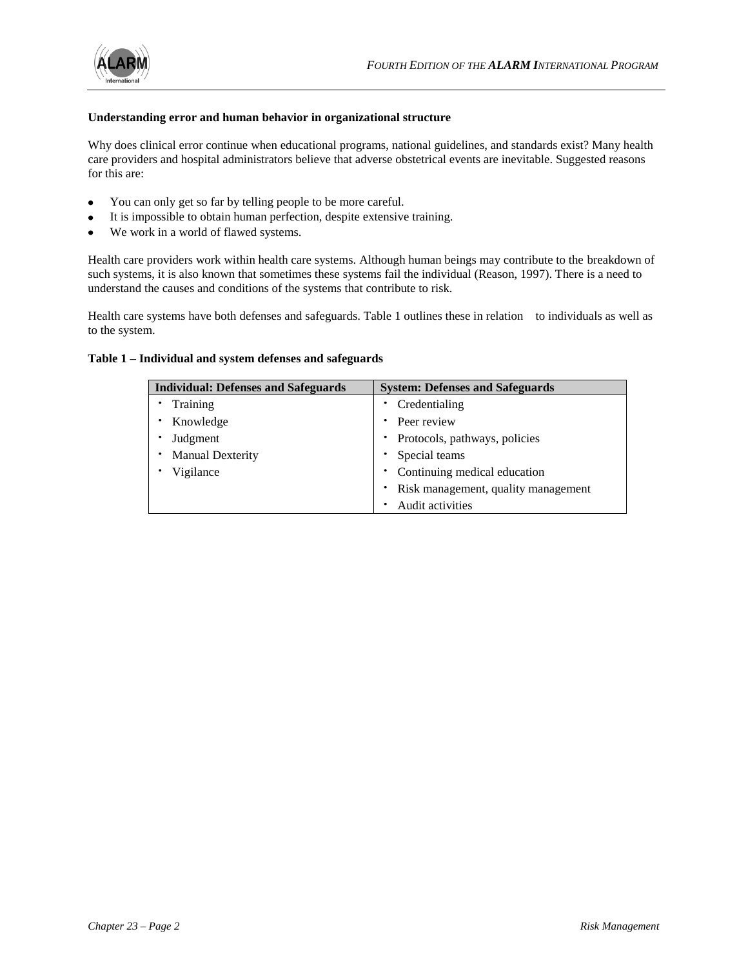

# **Understanding error and human behavior in organizational structure**

Why does clinical error continue when educational programs, national guidelines, and standards exist? Many health care providers and hospital administrators believe that adverse obstetrical events are inevitable. Suggested reasons for this are:

- You can only get so far by telling people to be more careful.  $\bullet$
- It is impossible to obtain human perfection, despite extensive training.
- We work in a world of flawed systems.

Health care providers work within health care systems. Although human beings may contribute to the breakdown of such systems, it is also known that sometimes these systems fail the individual (Reason, 1997). There is a need to understand the causes and conditions of the systems that contribute to risk.

Health care systems have both defenses and safeguards. Table 1 outlines these in relation to individuals as well as to the system.

#### **Table 1 – Individual and system defenses and safeguards**

| <b>Individual: Defenses and Safeguards</b> | <b>System: Defenses and Safeguards</b> |
|--------------------------------------------|----------------------------------------|
| Training                                   | Credentialing                          |
| Knowledge                                  | Peer review                            |
| Judgment                                   | Protocols, pathways, policies          |
| <b>Manual Dexterity</b>                    | Special teams                          |
| Vigilance                                  | • Continuing medical education         |
|                                            | Risk management, quality management    |
|                                            | Audit activities                       |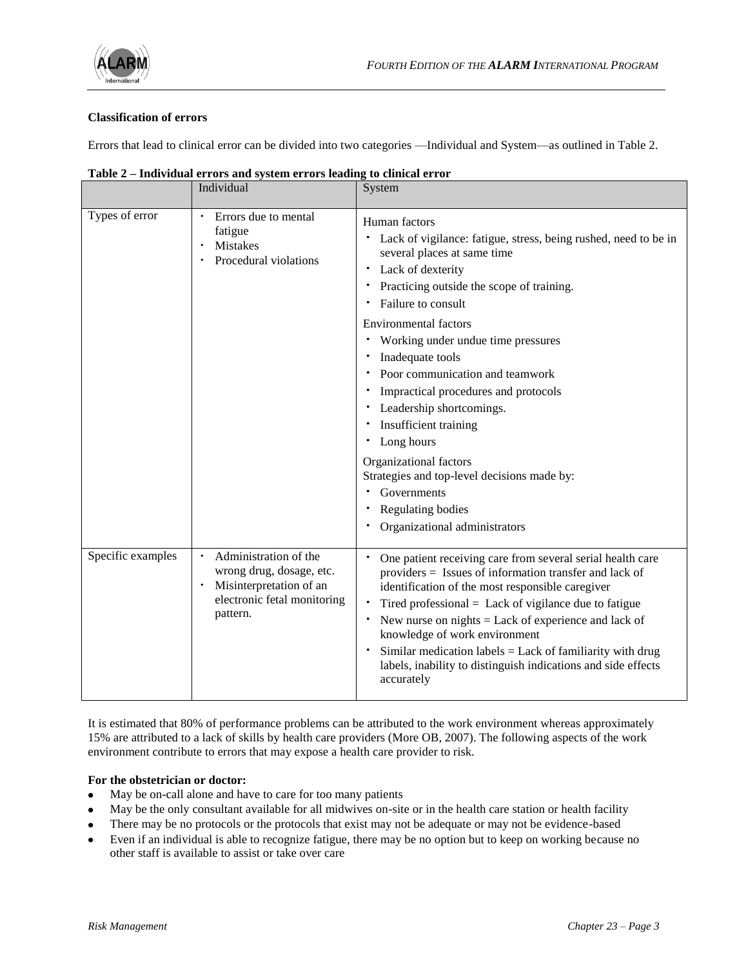

# **Classification of errors**

Errors that lead to clinical error can be divided into two categories —Individual and System—as outlined in Table 2.

|                   | Individual                                                                                                              | System                                                                                                                                                                                                                                                                                                                                                                                                                                                                                 |
|-------------------|-------------------------------------------------------------------------------------------------------------------------|----------------------------------------------------------------------------------------------------------------------------------------------------------------------------------------------------------------------------------------------------------------------------------------------------------------------------------------------------------------------------------------------------------------------------------------------------------------------------------------|
| Types of error    | Errors due to mental<br>fatigue<br>Mistakes<br>Procedural violations                                                    | Human factors<br>Lack of vigilance: fatigue, stress, being rushed, need to be in<br>٠<br>several places at same time<br>Lack of dexterity<br>٠<br>Practicing outside the scope of training.<br>Failure to consult<br><b>Environmental factors</b><br>• Working under undue time pressures<br>Inadequate tools<br>Poor communication and teamwork<br>Impractical procedures and protocols<br>٠<br>Leadership shortcomings.<br>Insufficient training<br>٠<br>Long hours<br>٠             |
|                   |                                                                                                                         | Organizational factors<br>Strategies and top-level decisions made by:<br>Governments<br>Regulating bodies<br>Organizational administrators                                                                                                                                                                                                                                                                                                                                             |
| Specific examples | Administration of the<br>wrong drug, dosage, etc.<br>Misinterpretation of an<br>electronic fetal monitoring<br>pattern. | One patient receiving care from several serial health care<br>providers = Issues of information transfer and lack of<br>identification of the most responsible caregiver<br>Tired professional $=$ Lack of vigilance due to fatigue<br>٠<br>New nurse on nights $=$ Lack of experience and lack of<br>knowledge of work environment<br>Similar medication labels $=$ Lack of familiarity with drug<br>٠<br>labels, inability to distinguish indications and side effects<br>accurately |

**Table 2 – Individual errors and system errors leading to clinical error** 

It is estimated that 80% of performance problems can be attributed to the work environment whereas approximately 15% are attributed to a lack of skills by health care providers (More OB, 2007). The following aspects of the work environment contribute to errors that may expose a health care provider to risk.

# **For the obstetrician or doctor:**

- May be on-call alone and have to care for too many patients  $\bullet$
- May be the only consultant available for all midwives on-site or in the health care station or health facility  $\bullet$
- There may be no protocols or the protocols that exist may not be adequate or may not be evidence-based
- Even if an individual is able to recognize fatigue, there may be no option but to keep on working because no  $\bullet$ other staff is available to assist or take over care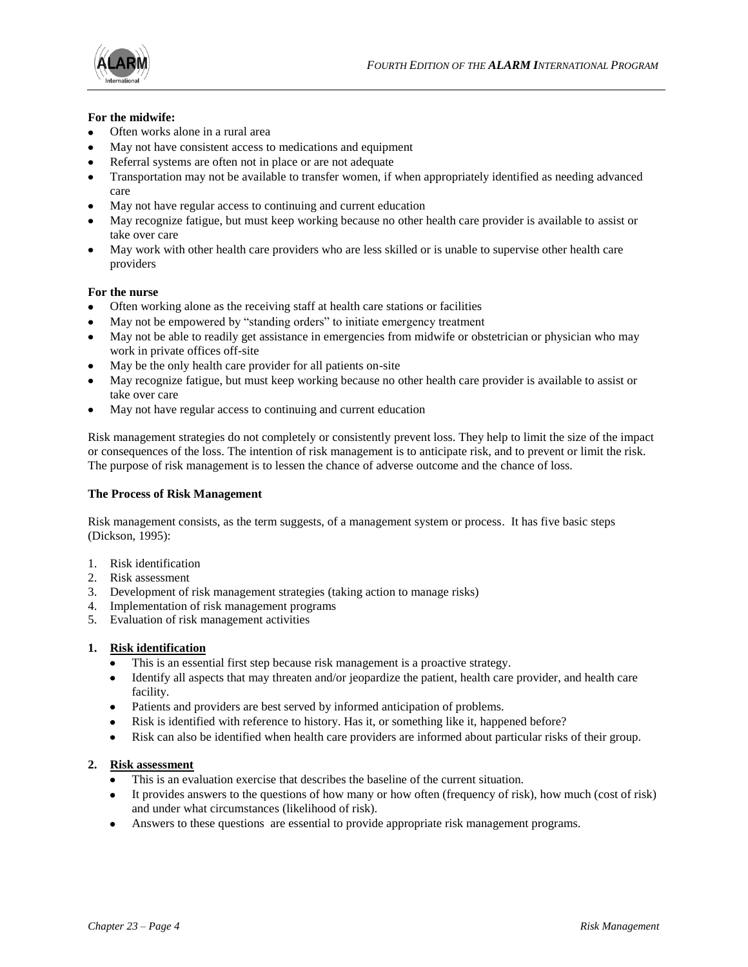



# **For the midwife:**

- Often works alone in a rural area
- May not have consistent access to medications and equipment
- Referral systems are often not in place or are not adequate
- Transportation may not be available to transfer women, if when appropriately identified as needing advanced care
- May not have regular access to continuing and current education
- May recognize fatigue, but must keep working because no other health care provider is available to assist or take over care
- May work with other health care providers who are less skilled or is unable to supervise other health care providers

# **For the nurse**

- Often working alone as the receiving staff at health care stations or facilities
- May not be empowered by "standing orders" to initiate emergency treatment
- May not be able to readily get assistance in emergencies from midwife or obstetrician or physician who may work in private offices off-site
- May be the only health care provider for all patients on-site
- May recognize fatigue, but must keep working because no other health care provider is available to assist or take over care
- May not have regular access to continuing and current education

Risk management strategies do not completely or consistently prevent loss. They help to limit the size of the impact or consequences of the loss. The intention of risk management is to anticipate risk, and to prevent or limit the risk. The purpose of risk management is to lessen the chance of adverse outcome and the chance of loss.

# **The Process of Risk Management**

Risk management consists, as the term suggests, of a management system or process. It has five basic steps (Dickson, 1995):

- 1. Risk identification
- 2. Risk assessment
- 3. Development of risk management strategies (taking action to manage risks)
- 4. Implementation of risk management programs
- 5. Evaluation of risk management activities

# **1. Risk identification**

- This is an essential first step because risk management is a proactive strategy.
- Identify all aspects that may threaten and/or jeopardize the patient, health care provider, and health care facility.
- Patients and providers are best served by informed anticipation of problems.
- Risk is identified with reference to history. Has it, or something like it, happened before?
- Risk can also be identified when health care providers are informed about particular risks of their group.

# **2. Risk assessment**

- This is an evaluation exercise that describes the baseline of the current situation.
- It provides answers to the questions of how many or how often (frequency of risk), how much (cost of risk) and under what circumstances (likelihood of risk).
- Answers to these questions are essential to provide appropriate risk management programs.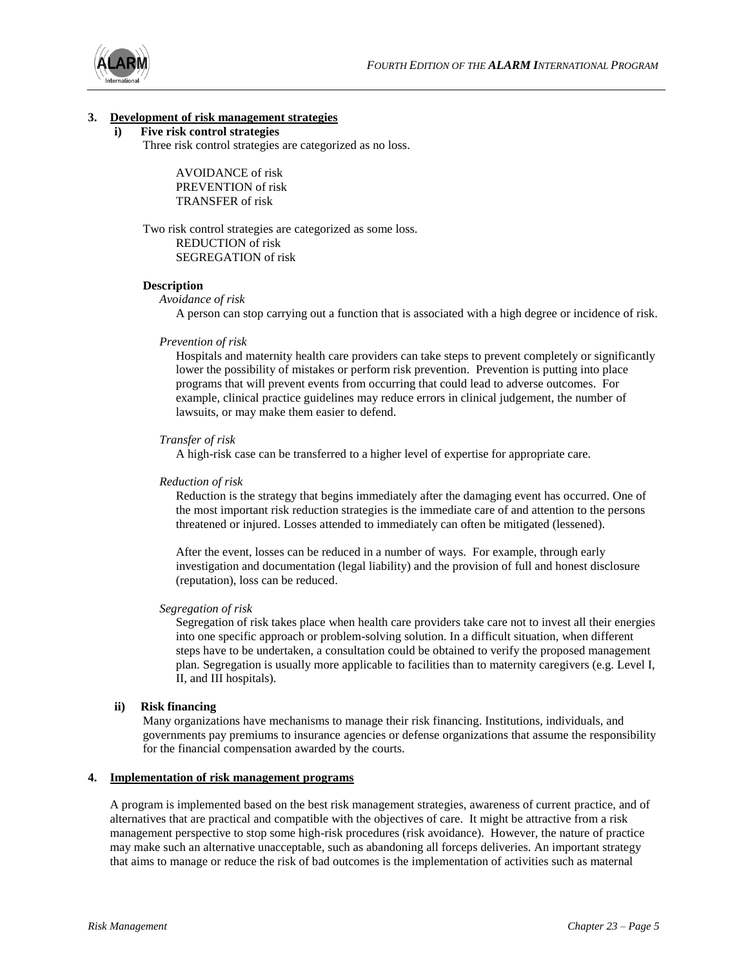

#### **3. Development of risk management strategies**

# **i) Five risk control strategies**

Three risk control strategies are categorized as no loss.

AVOIDANCE of risk PREVENTION of risk TRANSFER of risk

Two risk control strategies are categorized as some loss. REDUCTION of risk SEGREGATION of risk

#### **Description**

#### *Avoidance of risk*

A person can stop carrying out a function that is associated with a high degree or incidence of risk.

#### *Prevention of risk*

Hospitals and maternity health care providers can take steps to prevent completely or significantly lower the possibility of mistakes or perform risk prevention. Prevention is putting into place programs that will prevent events from occurring that could lead to adverse outcomes. For example, clinical practice guidelines may reduce errors in clinical judgement, the number of lawsuits, or may make them easier to defend.

#### *Transfer of risk*

A high-risk case can be transferred to a higher level of expertise for appropriate care.

#### *Reduction of risk*

Reduction is the strategy that begins immediately after the damaging event has occurred. One of the most important risk reduction strategies is the immediate care of and attention to the persons threatened or injured. Losses attended to immediately can often be mitigated (lessened).

After the event, losses can be reduced in a number of ways. For example, through early investigation and documentation (legal liability) and the provision of full and honest disclosure (reputation), loss can be reduced.

#### *Segregation of risk*

Segregation of risk takes place when health care providers take care not to invest all their energies into one specific approach or problem-solving solution. In a difficult situation, when different steps have to be undertaken, a consultation could be obtained to verify the proposed management plan. Segregation is usually more applicable to facilities than to maternity caregivers (e.g. Level I, II, and III hospitals).

#### **ii) Risk financing**

Many organizations have mechanisms to manage their risk financing. Institutions, individuals, and governments pay premiums to insurance agencies or defense organizations that assume the responsibility for the financial compensation awarded by the courts.

#### **4. Implementation of risk management programs**

A program is implemented based on the best risk management strategies, awareness of current practice, and of alternatives that are practical and compatible with the objectives of care. It might be attractive from a risk management perspective to stop some high-risk procedures (risk avoidance). However, the nature of practice may make such an alternative unacceptable, such as abandoning all forceps deliveries. An important strategy that aims to manage or reduce the risk of bad outcomes is the implementation of activities such as maternal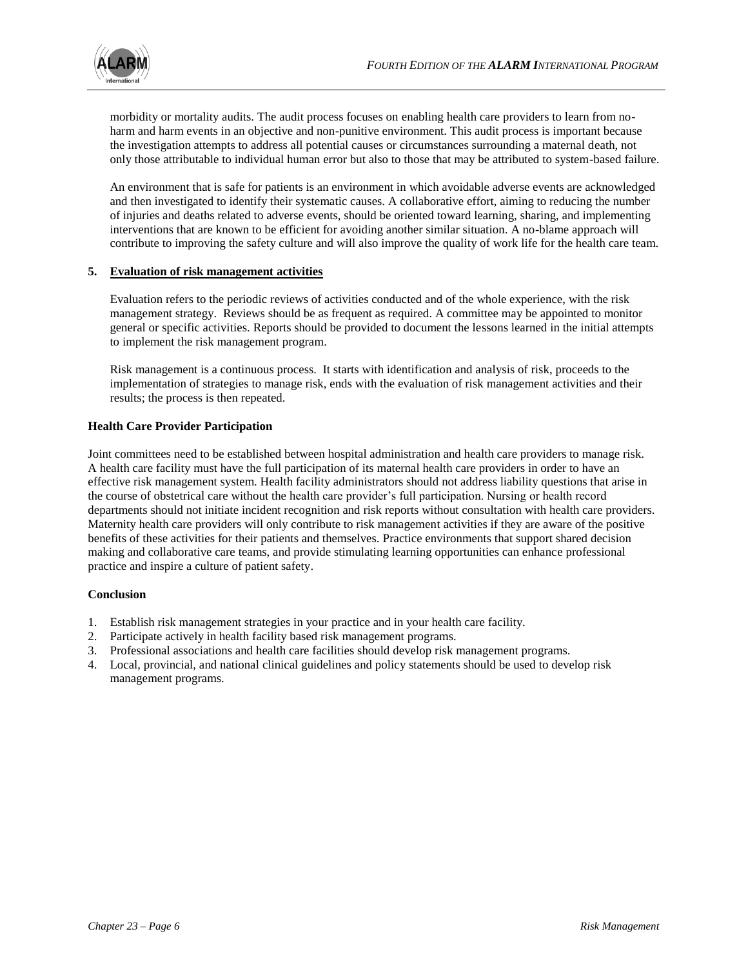

morbidity or mortality audits. The audit process focuses on enabling health care providers to learn from noharm and harm events in an objective and non-punitive environment. This audit process is important because the investigation attempts to address all potential causes or circumstances surrounding a maternal death, not only those attributable to individual human error but also to those that may be attributed to system-based failure.

An environment that is safe for patients is an environment in which avoidable adverse events are acknowledged and then investigated to identify their systematic causes. A collaborative effort, aiming to reducing the number of injuries and deaths related to adverse events, should be oriented toward learning, sharing, and implementing interventions that are known to be efficient for avoiding another similar situation. A no-blame approach will contribute to improving the safety culture and will also improve the quality of work life for the health care team.

# **5. Evaluation of risk management activities**

Evaluation refers to the periodic reviews of activities conducted and of the whole experience, with the risk management strategy. Reviews should be as frequent as required. A committee may be appointed to monitor general or specific activities. Reports should be provided to document the lessons learned in the initial attempts to implement the risk management program.

Risk management is a continuous process. It starts with identification and analysis of risk, proceeds to the implementation of strategies to manage risk, ends with the evaluation of risk management activities and their results; the process is then repeated.

# **Health Care Provider Participation**

Joint committees need to be established between hospital administration and health care providers to manage risk. A health care facility must have the full participation of its maternal health care providers in order to have an effective risk management system. Health facility administrators should not address liability questions that arise in the course of obstetrical care without the health care provider's full participation. Nursing or health record departments should not initiate incident recognition and risk reports without consultation with health care providers. Maternity health care providers will only contribute to risk management activities if they are aware of the positive benefits of these activities for their patients and themselves. Practice environments that support shared decision making and collaborative care teams, and provide stimulating learning opportunities can enhance professional practice and inspire a culture of patient safety.

# **Conclusion**

- 1. Establish risk management strategies in your practice and in your health care facility.
- 2. Participate actively in health facility based risk management programs.
- 3. Professional associations and health care facilities should develop risk management programs.
- 4. Local, provincial, and national clinical guidelines and policy statements should be used to develop risk management programs.